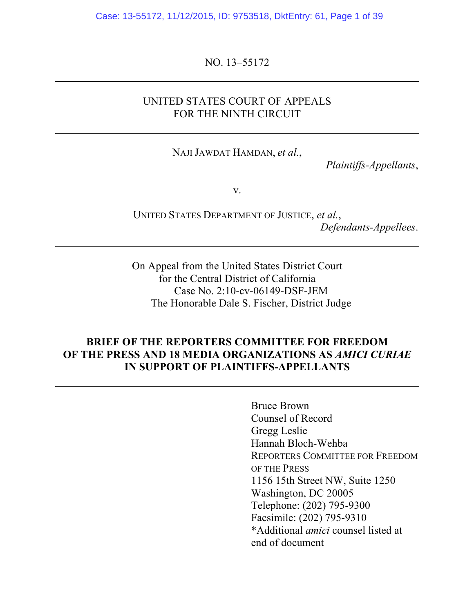Case: 13-55172, 11/12/2015, ID: 9753518, DktEntry: 61, Page 1 of 39

NO. 13–55172

### UNITED STATES COURT OF APPEALS FOR THE NINTH CIRCUIT

NAJI JAWDAT HAMDAN, *et al.*,

*Plaintiffs-Appellants*,

v.

UNITED STATES DEPARTMENT OF JUSTICE, *et al.*, *Defendants-Appellees*.

On Appeal from the United States District Court for the Central District of California Case No. 2:10-cv-06149-DSF-JEM The Honorable Dale S. Fischer, District Judge

### **BRIEF OF THE REPORTERS COMMITTEE FOR FREEDOM OF THE PRESS AND 18 MEDIA ORGANIZATIONS AS** *AMICI CURIAE* **IN SUPPORT OF PLAINTIFFS-APPELLANTS**

Bruce Brown Counsel of Record Gregg Leslie Hannah Bloch-Wehba REPORTERS COMMITTEE FOR FREEDOM OF THE PRESS 1156 15th Street NW, Suite 1250 Washington, DC 20005 Telephone: (202) 795-9300 Facsimile: (202) 795-9310 \*Additional *amici* counsel listed at end of document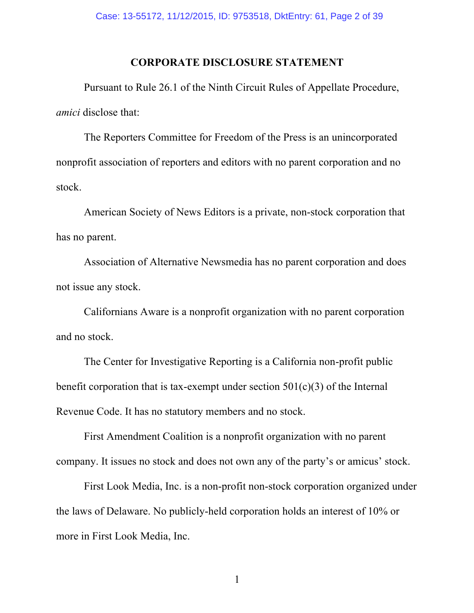### **CORPORATE DISCLOSURE STATEMENT**

Pursuant to Rule 26.1 of the Ninth Circuit Rules of Appellate Procedure, *amici* disclose that:

The Reporters Committee for Freedom of the Press is an unincorporated nonprofit association of reporters and editors with no parent corporation and no stock.

American Society of News Editors is a private, non-stock corporation that has no parent.

Association of Alternative Newsmedia has no parent corporation and does not issue any stock.

Californians Aware is a nonprofit organization with no parent corporation and no stock.

The Center for Investigative Reporting is a California non-profit public benefit corporation that is tax-exempt under section  $501(c)(3)$  of the Internal Revenue Code. It has no statutory members and no stock.

First Amendment Coalition is a nonprofit organization with no parent company. It issues no stock and does not own any of the party's or amicus' stock.

First Look Media, Inc. is a non-profit non-stock corporation organized under the laws of Delaware. No publicly-held corporation holds an interest of 10% or more in First Look Media, Inc.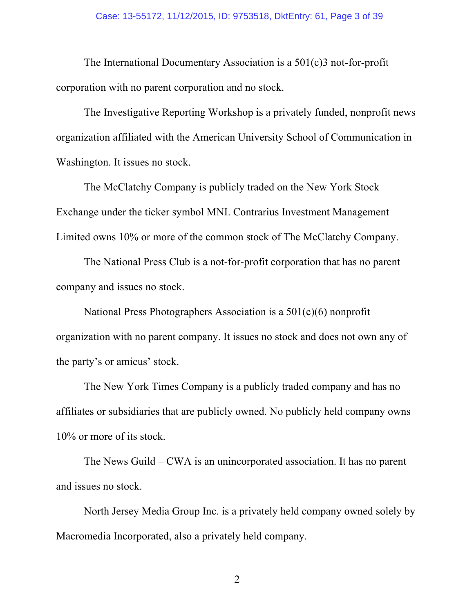The International Documentary Association is a 501(c)3 not-for-profit corporation with no parent corporation and no stock.

The Investigative Reporting Workshop is a privately funded, nonprofit news organization affiliated with the American University School of Communication in Washington. It issues no stock.

The McClatchy Company is publicly traded on the New York Stock Exchange under the ticker symbol MNI. Contrarius Investment Management Limited owns 10% or more of the common stock of The McClatchy Company.

The National Press Club is a not-for-profit corporation that has no parent company and issues no stock.

National Press Photographers Association is a 501(c)(6) nonprofit organization with no parent company. It issues no stock and does not own any of the party's or amicus' stock.

The New York Times Company is a publicly traded company and has no affiliates or subsidiaries that are publicly owned. No publicly held company owns 10% or more of its stock.

The News Guild – CWA is an unincorporated association. It has no parent and issues no stock.

North Jersey Media Group Inc. is a privately held company owned solely by Macromedia Incorporated, also a privately held company.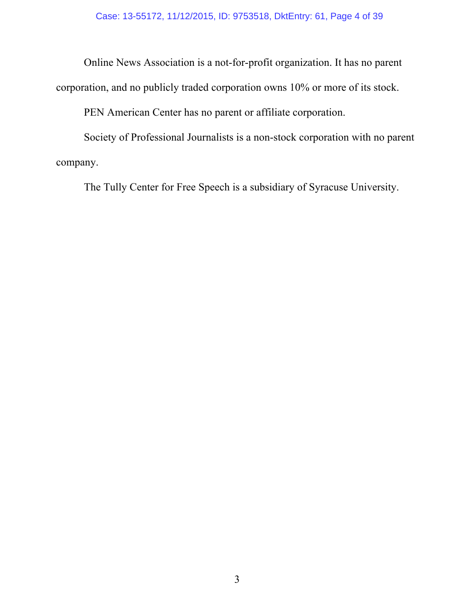Online News Association is a not-for-profit organization. It has no parent

corporation, and no publicly traded corporation owns 10% or more of its stock.

PEN American Center has no parent or affiliate corporation.

Society of Professional Journalists is a non-stock corporation with no parent company.

The Tully Center for Free Speech is a subsidiary of Syracuse University.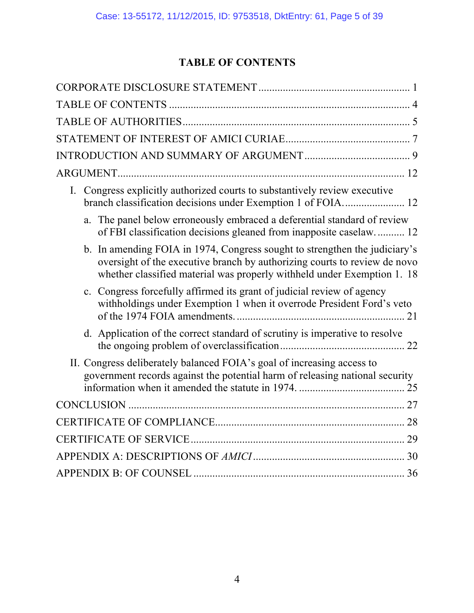# **TABLE OF CONTENTS**

| Congress explicitly authorized courts to substantively review executive<br>$I_{\cdot}$<br>branch classification decisions under Exemption 1 of FOIA 12                                                                             |
|------------------------------------------------------------------------------------------------------------------------------------------------------------------------------------------------------------------------------------|
| a. The panel below erroneously embraced a deferential standard of review<br>of FBI classification decisions gleaned from inapposite caselaw 12                                                                                     |
| b. In amending FOIA in 1974, Congress sought to strengthen the judiciary's<br>oversight of the executive branch by authorizing courts to review de novo<br>whether classified material was properly withheld under Exemption 1. 18 |
| c. Congress forcefully affirmed its grant of judicial review of agency<br>withholdings under Exemption 1 when it overrode President Ford's veto                                                                                    |
| d. Application of the correct standard of scrutiny is imperative to resolve                                                                                                                                                        |
| II. Congress deliberately balanced FOIA's goal of increasing access to<br>government records against the potential harm of releasing national security                                                                             |
|                                                                                                                                                                                                                                    |
|                                                                                                                                                                                                                                    |
|                                                                                                                                                                                                                                    |
|                                                                                                                                                                                                                                    |
|                                                                                                                                                                                                                                    |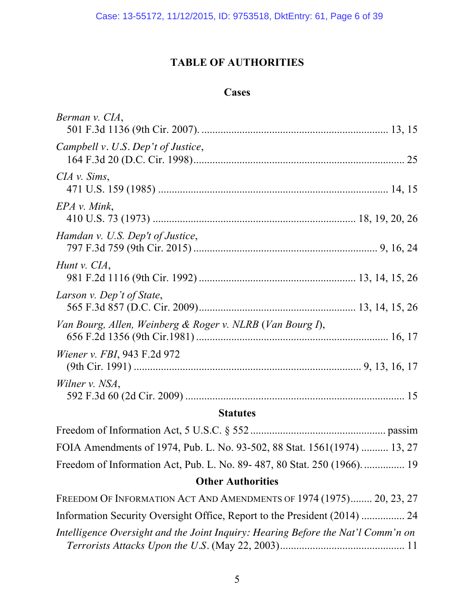# **TABLE OF AUTHORITIES**

# **Cases**

| Berman v. CIA,                                            |  |
|-----------------------------------------------------------|--|
| Campbell v. U.S. Dep't of Justice,                        |  |
| $CIA$ v. Sims,                                            |  |
| EPA v. Mink,                                              |  |
| Hamdan v. U.S. Dep't of Justice,                          |  |
| Hunt v. CIA,                                              |  |
| Larson v. Dep't of State,                                 |  |
| Van Bourg, Allen, Weinberg & Roger v. NLRB (Van Bourg I), |  |
| <i>Wiener v. FBI</i> , 943 F.2d 972                       |  |
| Wilner v. NSA,                                            |  |

# **Statutes**

| FOIA Amendments of 1974, Pub. L. No. 93-502, 88 Stat. 1561(1974)  13, 27 |  |
|--------------------------------------------------------------------------|--|
| Freedom of Information Act, Pub. L. No. 89-487, 80 Stat. 250 (1966).  19 |  |

# **Other Authorities**

| FREEDOM OF INFORMATION ACT AND AMENDMENTS OF 1974 (1975) 20, 23, 27              |  |
|----------------------------------------------------------------------------------|--|
| Information Security Oversight Office, Report to the President (2014)  24        |  |
| Intelligence Oversight and the Joint Inquiry: Hearing Before the Nat'l Comm'n on |  |
|                                                                                  |  |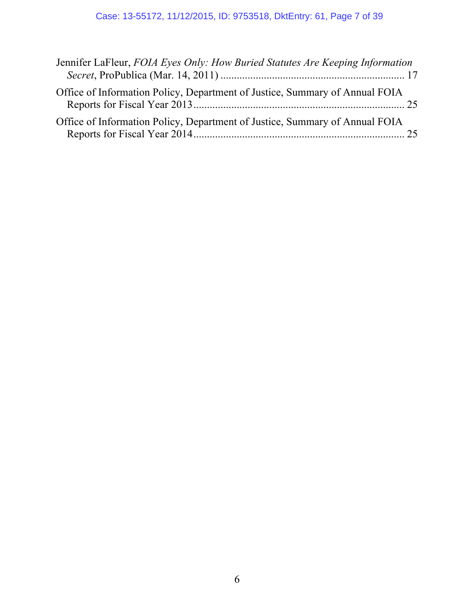| Jennifer LaFleur, FOIA Eyes Only: How Buried Statutes Are Keeping Information |  |
|-------------------------------------------------------------------------------|--|
| Office of Information Policy, Department of Justice, Summary of Annual FOIA   |  |
| Office of Information Policy, Department of Justice, Summary of Annual FOIA   |  |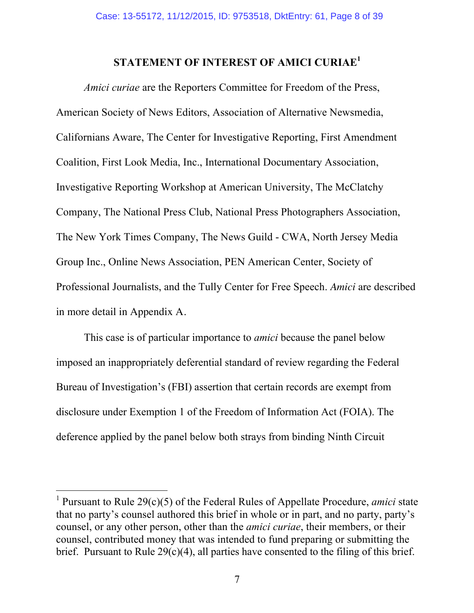# **STATEMENT OF INTEREST OF AMICI CURIAE<sup>1</sup>**

*Amici curiae* are the Reporters Committee for Freedom of the Press, American Society of News Editors, Association of Alternative Newsmedia, Californians Aware, The Center for Investigative Reporting, First Amendment Coalition, First Look Media, Inc., International Documentary Association, Investigative Reporting Workshop at American University, The McClatchy Company, The National Press Club, National Press Photographers Association, The New York Times Company, The News Guild - CWA, North Jersey Media Group Inc., Online News Association, PEN American Center, Society of Professional Journalists, and the Tully Center for Free Speech. *Amici* are described in more detail in Appendix A.

This case is of particular importance to *amici* because the panel below imposed an inappropriately deferential standard of review regarding the Federal Bureau of Investigation's (FBI) assertion that certain records are exempt from disclosure under Exemption 1 of the Freedom of Information Act (FOIA). The deference applied by the panel below both strays from binding Ninth Circuit

 $\overline{a}$ 

<sup>1</sup> Pursuant to Rule 29(c)(5) of the Federal Rules of Appellate Procedure, *amici* state that no party's counsel authored this brief in whole or in part, and no party, party's counsel, or any other person, other than the *amici curiae*, their members, or their counsel, contributed money that was intended to fund preparing or submitting the brief. Pursuant to Rule  $29(c)(4)$ , all parties have consented to the filing of this brief.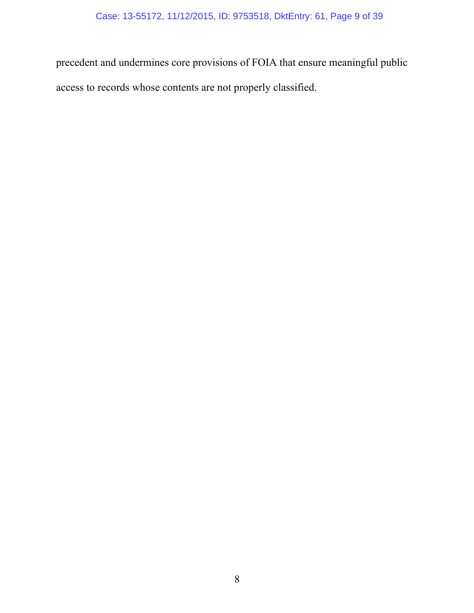precedent and undermines core provisions of FOIA that ensure meaningful public access to records whose contents are not properly classified.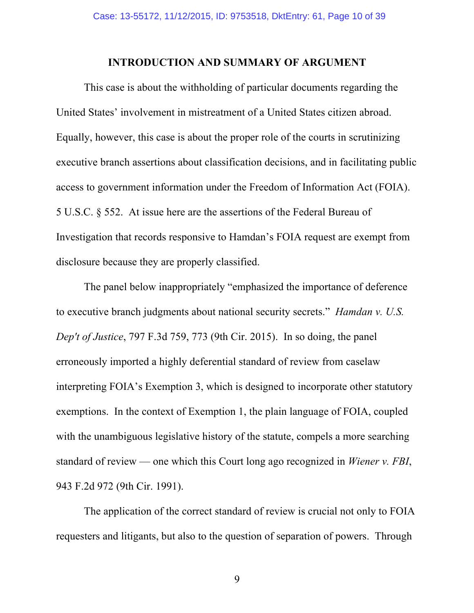### **INTRODUCTION AND SUMMARY OF ARGUMENT**

This case is about the withholding of particular documents regarding the United States' involvement in mistreatment of a United States citizen abroad. Equally, however, this case is about the proper role of the courts in scrutinizing executive branch assertions about classification decisions, and in facilitating public access to government information under the Freedom of Information Act (FOIA). 5 U.S.C. § 552. At issue here are the assertions of the Federal Bureau of Investigation that records responsive to Hamdan's FOIA request are exempt from disclosure because they are properly classified.

The panel below inappropriately "emphasized the importance of deference to executive branch judgments about national security secrets." *Hamdan v. U.S. Dep't of Justice*, 797 F.3d 759, 773 (9th Cir. 2015). In so doing, the panel erroneously imported a highly deferential standard of review from caselaw interpreting FOIA's Exemption 3, which is designed to incorporate other statutory exemptions. In the context of Exemption 1, the plain language of FOIA, coupled with the unambiguous legislative history of the statute, compels a more searching standard of review — one which this Court long ago recognized in *Wiener v. FBI*, 943 F.2d 972 (9th Cir. 1991).

The application of the correct standard of review is crucial not only to FOIA requesters and litigants, but also to the question of separation of powers. Through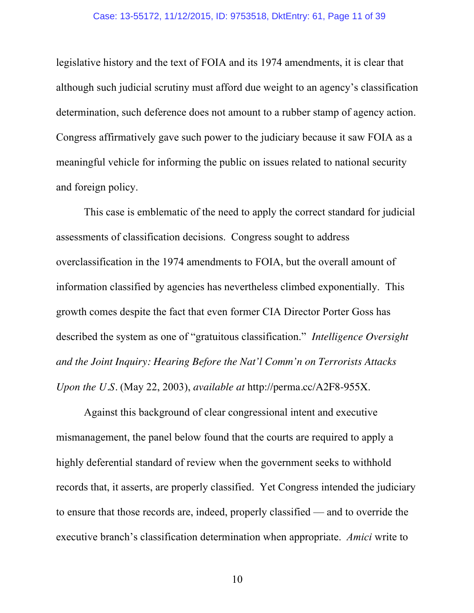legislative history and the text of FOIA and its 1974 amendments, it is clear that although such judicial scrutiny must afford due weight to an agency's classification determination, such deference does not amount to a rubber stamp of agency action. Congress affirmatively gave such power to the judiciary because it saw FOIA as a meaningful vehicle for informing the public on issues related to national security and foreign policy.

This case is emblematic of the need to apply the correct standard for judicial assessments of classification decisions. Congress sought to address overclassification in the 1974 amendments to FOIA, but the overall amount of information classified by agencies has nevertheless climbed exponentially. This growth comes despite the fact that even former CIA Director Porter Goss has described the system as one of "gratuitous classification." *Intelligence Oversight and the Joint Inquiry: Hearing Before the Nat'l Comm'n on Terrorists Attacks Upon the U.S.* (May 22, 2003), *available at* http://perma.cc/A2F8-955X.

Against this background of clear congressional intent and executive mismanagement, the panel below found that the courts are required to apply a highly deferential standard of review when the government seeks to withhold records that, it asserts, are properly classified. Yet Congress intended the judiciary to ensure that those records are, indeed, properly classified — and to override the executive branch's classification determination when appropriate. *Amici* write to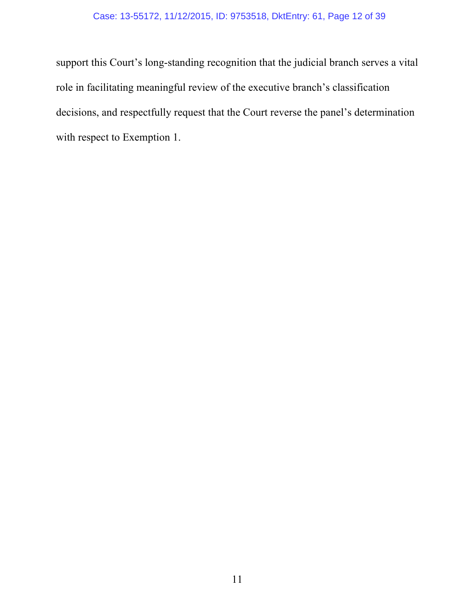### Case: 13-55172, 11/12/2015, ID: 9753518, DktEntry: 61, Page 12 of 39

support this Court's long-standing recognition that the judicial branch serves a vital role in facilitating meaningful review of the executive branch's classification decisions, and respectfully request that the Court reverse the panel's determination with respect to Exemption 1.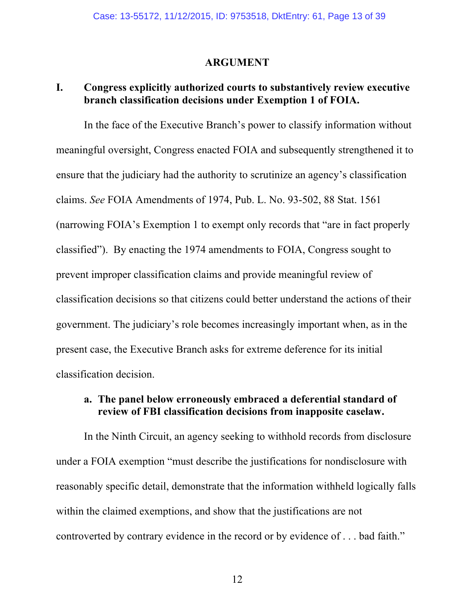### **ARGUMENT**

### **I. Congress explicitly authorized courts to substantively review executive branch classification decisions under Exemption 1 of FOIA.**

In the face of the Executive Branch's power to classify information without meaningful oversight, Congress enacted FOIA and subsequently strengthened it to ensure that the judiciary had the authority to scrutinize an agency's classification claims. *See* FOIA Amendments of 1974, Pub. L. No. 93-502, 88 Stat. 1561 (narrowing FOIA's Exemption 1 to exempt only records that "are in fact properly classified"). By enacting the 1974 amendments to FOIA, Congress sought to prevent improper classification claims and provide meaningful review of classification decisions so that citizens could better understand the actions of their government. The judiciary's role becomes increasingly important when, as in the present case, the Executive Branch asks for extreme deference for its initial classification decision.

### **a. The panel below erroneously embraced a deferential standard of review of FBI classification decisions from inapposite caselaw.**

In the Ninth Circuit, an agency seeking to withhold records from disclosure under a FOIA exemption "must describe the justifications for nondisclosure with reasonably specific detail, demonstrate that the information withheld logically falls within the claimed exemptions, and show that the justifications are not controverted by contrary evidence in the record or by evidence of . . . bad faith."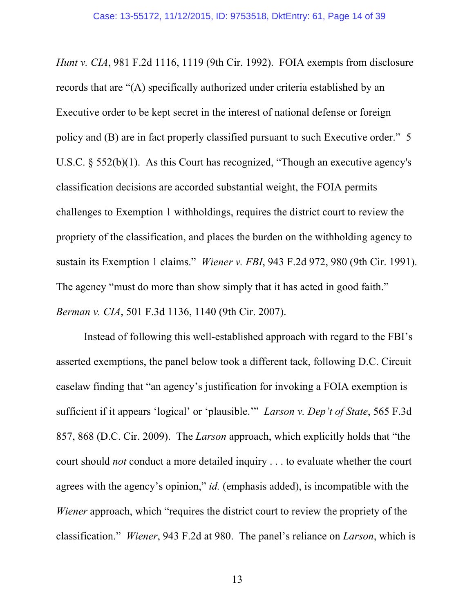*Hunt v. CIA*, 981 F.2d 1116, 1119 (9th Cir. 1992). FOIA exempts from disclosure records that are "(A) specifically authorized under criteria established by an Executive order to be kept secret in the interest of national defense or foreign policy and (B) are in fact properly classified pursuant to such Executive order." 5 U.S.C. § 552(b)(1). As this Court has recognized, "Though an executive agency's classification decisions are accorded substantial weight, the FOIA permits challenges to Exemption 1 withholdings, requires the district court to review the propriety of the classification, and places the burden on the withholding agency to sustain its Exemption 1 claims." *Wiener v. FBI*, 943 F.2d 972, 980 (9th Cir. 1991). The agency "must do more than show simply that it has acted in good faith." *Berman v. CIA*, 501 F.3d 1136, 1140 (9th Cir. 2007).

Instead of following this well-established approach with regard to the FBI's asserted exemptions, the panel below took a different tack, following D.C. Circuit caselaw finding that "an agency's justification for invoking a FOIA exemption is sufficient if it appears 'logical' or 'plausible.'" *Larson v. Dep't of State*, 565 F.3d 857, 868 (D.C. Cir. 2009). The *Larson* approach, which explicitly holds that "the court should *not* conduct a more detailed inquiry . . . to evaluate whether the court agrees with the agency's opinion," *id.* (emphasis added), is incompatible with the *Wiener* approach, which "requires the district court to review the propriety of the classification." *Wiener*, 943 F.2d at 980. The panel's reliance on *Larson*, which is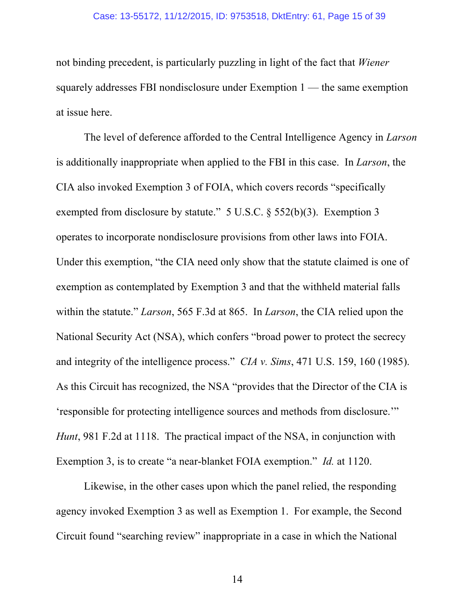#### Case: 13-55172, 11/12/2015, ID: 9753518, DktEntry: 61, Page 15 of 39

not binding precedent, is particularly puzzling in light of the fact that *Wiener* squarely addresses FBI nondisclosure under Exemption 1 — the same exemption at issue here.

The level of deference afforded to the Central Intelligence Agency in *Larson* is additionally inappropriate when applied to the FBI in this case. In *Larson*, the CIA also invoked Exemption 3 of FOIA, which covers records "specifically exempted from disclosure by statute." 5 U.S.C. § 552(b)(3). Exemption 3 operates to incorporate nondisclosure provisions from other laws into FOIA. Under this exemption, "the CIA need only show that the statute claimed is one of exemption as contemplated by Exemption 3 and that the withheld material falls within the statute." *Larson*, 565 F.3d at 865. In *Larson*, the CIA relied upon the National Security Act (NSA), which confers "broad power to protect the secrecy and integrity of the intelligence process." *CIA v. Sims*, 471 U.S. 159, 160 (1985). As this Circuit has recognized, the NSA "provides that the Director of the CIA is 'responsible for protecting intelligence sources and methods from disclosure.'" *Hunt*, 981 F.2d at 1118. The practical impact of the NSA, in conjunction with Exemption 3, is to create "a near-blanket FOIA exemption." *Id.* at 1120.

Likewise, in the other cases upon which the panel relied, the responding agency invoked Exemption 3 as well as Exemption 1. For example, the Second Circuit found "searching review" inappropriate in a case in which the National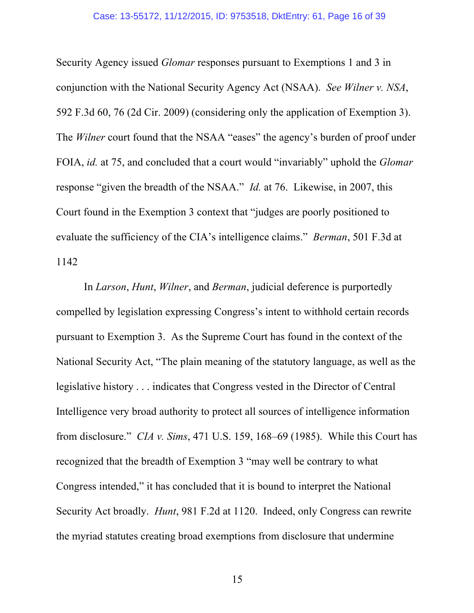Security Agency issued *Glomar* responses pursuant to Exemptions 1 and 3 in conjunction with the National Security Agency Act (NSAA). *See Wilner v. NSA*, 592 F.3d 60, 76 (2d Cir. 2009) (considering only the application of Exemption 3). The *Wilner* court found that the NSAA "eases" the agency's burden of proof under FOIA, *id.* at 75, and concluded that a court would "invariably" uphold the *Glomar* response "given the breadth of the NSAA." *Id.* at 76. Likewise, in 2007, this Court found in the Exemption 3 context that "judges are poorly positioned to evaluate the sufficiency of the CIA's intelligence claims." *Berman*, 501 F.3d at 1142

In *Larson*, *Hunt*, *Wilner*, and *Berman*, judicial deference is purportedly compelled by legislation expressing Congress's intent to withhold certain records pursuant to Exemption 3. As the Supreme Court has found in the context of the National Security Act, "The plain meaning of the statutory language, as well as the legislative history . . . indicates that Congress vested in the Director of Central Intelligence very broad authority to protect all sources of intelligence information from disclosure." *CIA v. Sims*, 471 U.S. 159, 168–69 (1985). While this Court has recognized that the breadth of Exemption 3 "may well be contrary to what Congress intended," it has concluded that it is bound to interpret the National Security Act broadly. *Hunt*, 981 F.2d at 1120. Indeed, only Congress can rewrite the myriad statutes creating broad exemptions from disclosure that undermine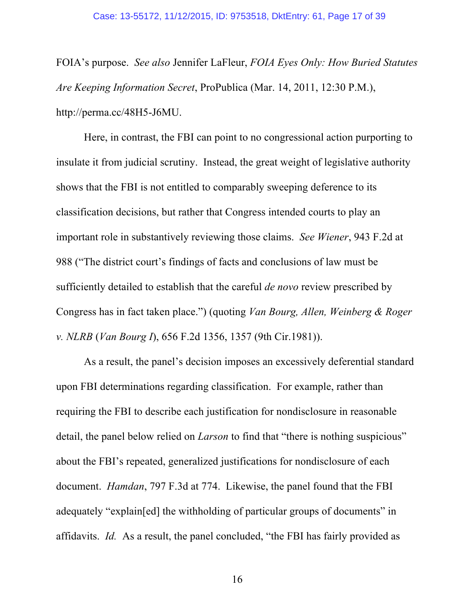FOIA's purpose. *See also* Jennifer LaFleur, *FOIA Eyes Only: How Buried Statutes Are Keeping Information Secret*, ProPublica (Mar. 14, 2011, 12:30 P.M.), http://perma.cc/48H5-J6MU.

Here, in contrast, the FBI can point to no congressional action purporting to insulate it from judicial scrutiny. Instead, the great weight of legislative authority shows that the FBI is not entitled to comparably sweeping deference to its classification decisions, but rather that Congress intended courts to play an important role in substantively reviewing those claims. *See Wiener*, 943 F.2d at 988 ("The district court's findings of facts and conclusions of law must be sufficiently detailed to establish that the careful *de novo* review prescribed by Congress has in fact taken place.") (quoting *Van Bourg, Allen, Weinberg & Roger v. NLRB* (*Van Bourg I*), 656 F.2d 1356, 1357 (9th Cir.1981)).

As a result, the panel's decision imposes an excessively deferential standard upon FBI determinations regarding classification. For example, rather than requiring the FBI to describe each justification for nondisclosure in reasonable detail, the panel below relied on *Larson* to find that "there is nothing suspicious" about the FBI's repeated, generalized justifications for nondisclosure of each document. *Hamdan*, 797 F.3d at 774. Likewise, the panel found that the FBI adequately "explain[ed] the withholding of particular groups of documents" in affidavits. *Id.* As a result, the panel concluded, "the FBI has fairly provided as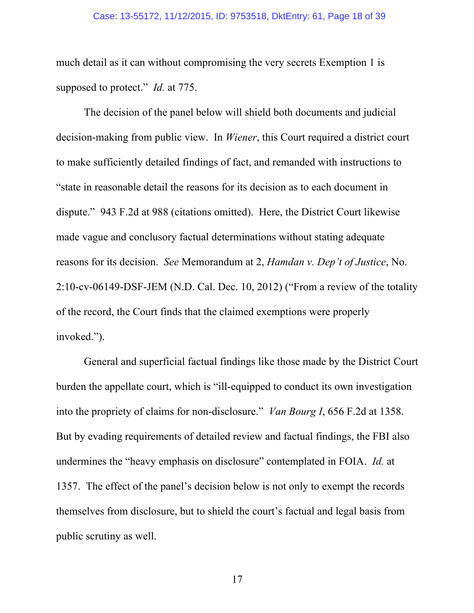#### Case: 13-55172, 11/12/2015, ID: 9753518, DktEntry: 61, Page 18 of 39

much detail as it can without compromising the very secrets Exemption 1 is supposed to protect." *Id.* at 775.

The decision of the panel below will shield both documents and judicial decision-making from public view. In *Wiener*, this Court required a district court to make sufficiently detailed findings of fact, and remanded with instructions to "state in reasonable detail the reasons for its decision as to each document in dispute." 943 F.2d at 988 (citations omitted). Here, the District Court likewise made vague and conclusory factual determinations without stating adequate reasons for its decision. *See* Memorandum at 2, *Hamdan v. Dep't of Justice*, No. 2:10-cv-06149-DSF-JEM (N.D. Cal. Dec. 10, 2012) ("From a review of the totality of the record, the Court finds that the claimed exemptions were properly invoked.").

General and superficial factual findings like those made by the District Court burden the appellate court, which is "ill-equipped to conduct its own investigation into the propriety of claims for non-disclosure." *Van Bourg I*, 656 F.2d at 1358. But by evading requirements of detailed review and factual findings, the FBI also undermines the "heavy emphasis on disclosure" contemplated in FOIA. *Id.* at 1357. The effect of the panel's decision below is not only to exempt the records themselves from disclosure, but to shield the court's factual and legal basis from public scrutiny as well.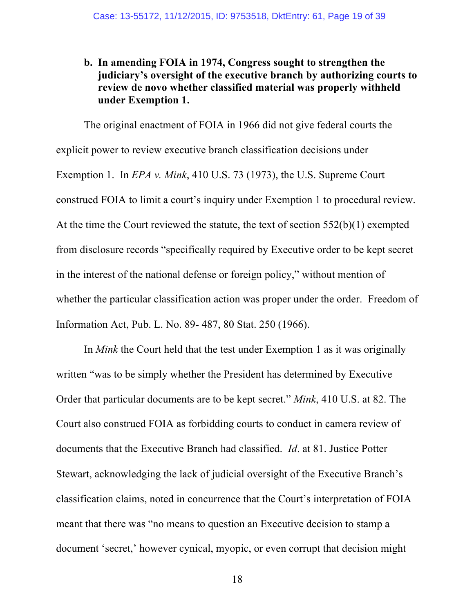### **b. In amending FOIA in 1974, Congress sought to strengthen the judiciary's oversight of the executive branch by authorizing courts to review de novo whether classified material was properly withheld under Exemption 1.**

The original enactment of FOIA in 1966 did not give federal courts the explicit power to review executive branch classification decisions under Exemption 1. In *EPA v. Mink*, 410 U.S. 73 (1973), the U.S. Supreme Court construed FOIA to limit a court's inquiry under Exemption 1 to procedural review. At the time the Court reviewed the statute, the text of section 552(b)(1) exempted from disclosure records "specifically required by Executive order to be kept secret in the interest of the national defense or foreign policy," without mention of whether the particular classification action was proper under the order. Freedom of Information Act, Pub. L. No. 89- 487, 80 Stat. 250 (1966).

In *Mink* the Court held that the test under Exemption 1 as it was originally written "was to be simply whether the President has determined by Executive Order that particular documents are to be kept secret." *Mink*, 410 U.S. at 82. The Court also construed FOIA as forbidding courts to conduct in camera review of documents that the Executive Branch had classified. *Id*. at 81. Justice Potter Stewart, acknowledging the lack of judicial oversight of the Executive Branch's classification claims, noted in concurrence that the Court's interpretation of FOIA meant that there was "no means to question an Executive decision to stamp a document 'secret,' however cynical, myopic, or even corrupt that decision might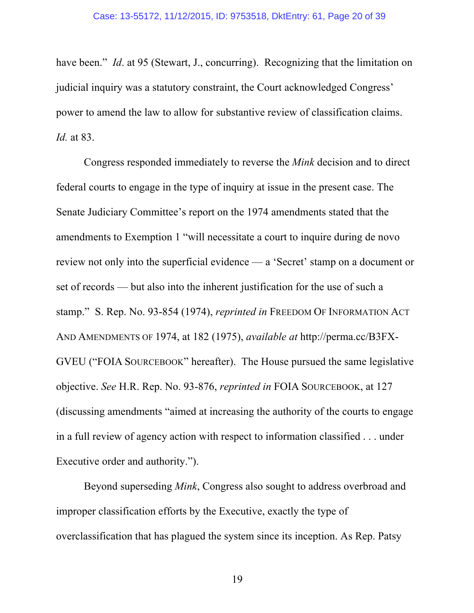have been." *Id.* at 95 (Stewart, J., concurring). Recognizing that the limitation on judicial inquiry was a statutory constraint, the Court acknowledged Congress' power to amend the law to allow for substantive review of classification claims. *Id.* at 83.

Congress responded immediately to reverse the *Mink* decision and to direct federal courts to engage in the type of inquiry at issue in the present case. The Senate Judiciary Committee's report on the 1974 amendments stated that the amendments to Exemption 1 "will necessitate a court to inquire during de novo review not only into the superficial evidence — a 'Secret' stamp on a document or set of records — but also into the inherent justification for the use of such a stamp." S. Rep. No. 93-854 (1974), *reprinted in* FREEDOM OF INFORMATION ACT AND AMENDMENTS OF 1974, at 182 (1975), *available at* http://perma.cc/B3FX-GVEU ("FOIA SOURCEBOOK" hereafter). The House pursued the same legislative objective. *See* H.R. Rep. No. 93-876, *reprinted in* FOIA SOURCEBOOK, at 127 (discussing amendments "aimed at increasing the authority of the courts to engage in a full review of agency action with respect to information classified . . . under Executive order and authority.").

Beyond superseding *Mink*, Congress also sought to address overbroad and improper classification efforts by the Executive, exactly the type of overclassification that has plagued the system since its inception. As Rep. Patsy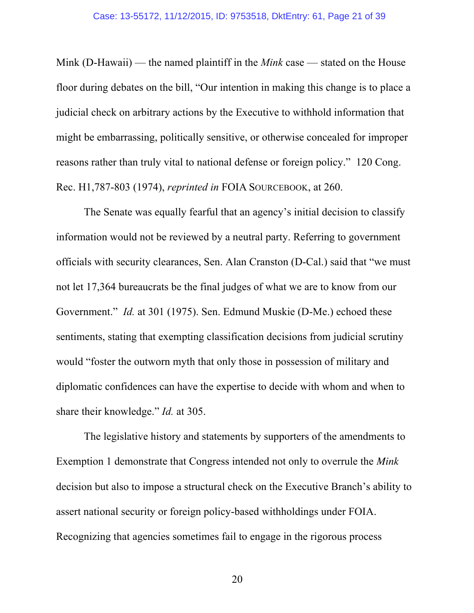Mink (D-Hawaii) — the named plaintiff in the *Mink* case — stated on the House floor during debates on the bill, "Our intention in making this change is to place a judicial check on arbitrary actions by the Executive to withhold information that might be embarrassing, politically sensitive, or otherwise concealed for improper reasons rather than truly vital to national defense or foreign policy." 120 Cong. Rec. H1,787-803 (1974), *reprinted in* FOIA SOURCEBOOK, at 260.

The Senate was equally fearful that an agency's initial decision to classify information would not be reviewed by a neutral party. Referring to government officials with security clearances, Sen. Alan Cranston (D-Cal.) said that "we must not let 17,364 bureaucrats be the final judges of what we are to know from our Government." *Id.* at 301 (1975). Sen. Edmund Muskie (D-Me.) echoed these sentiments, stating that exempting classification decisions from judicial scrutiny would "foster the outworn myth that only those in possession of military and diplomatic confidences can have the expertise to decide with whom and when to share their knowledge." *Id.* at 305.

The legislative history and statements by supporters of the amendments to Exemption 1 demonstrate that Congress intended not only to overrule the *Mink* decision but also to impose a structural check on the Executive Branch's ability to assert national security or foreign policy-based withholdings under FOIA. Recognizing that agencies sometimes fail to engage in the rigorous process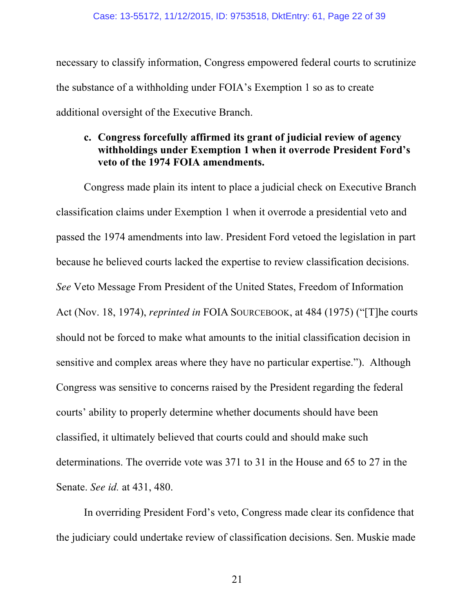necessary to classify information, Congress empowered federal courts to scrutinize the substance of a withholding under FOIA's Exemption 1 so as to create additional oversight of the Executive Branch.

### **c. Congress forcefully affirmed its grant of judicial review of agency withholdings under Exemption 1 when it overrode President Ford's veto of the 1974 FOIA amendments.**

Congress made plain its intent to place a judicial check on Executive Branch classification claims under Exemption 1 when it overrode a presidential veto and passed the 1974 amendments into law. President Ford vetoed the legislation in part because he believed courts lacked the expertise to review classification decisions. *See* Veto Message From President of the United States, Freedom of Information Act (Nov. 18, 1974), *reprinted in* FOIA SOURCEBOOK, at 484 (1975) ("[T]he courts should not be forced to make what amounts to the initial classification decision in sensitive and complex areas where they have no particular expertise."). Although Congress was sensitive to concerns raised by the President regarding the federal courts' ability to properly determine whether documents should have been classified, it ultimately believed that courts could and should make such determinations. The override vote was 371 to 31 in the House and 65 to 27 in the Senate. *See id.* at 431, 480.

In overriding President Ford's veto, Congress made clear its confidence that the judiciary could undertake review of classification decisions. Sen. Muskie made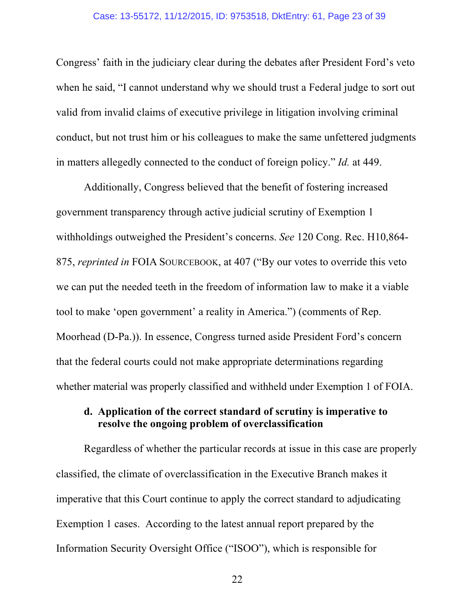Congress' faith in the judiciary clear during the debates after President Ford's veto when he said, "I cannot understand why we should trust a Federal judge to sort out valid from invalid claims of executive privilege in litigation involving criminal conduct, but not trust him or his colleagues to make the same unfettered judgments in matters allegedly connected to the conduct of foreign policy." *Id.* at 449.

Additionally, Congress believed that the benefit of fostering increased government transparency through active judicial scrutiny of Exemption 1 withholdings outweighed the President's concerns. *See* 120 Cong. Rec. H10,864- 875, *reprinted in* FOIA SOURCEBOOK, at 407 ("By our votes to override this veto we can put the needed teeth in the freedom of information law to make it a viable tool to make 'open government' a reality in America.") (comments of Rep. Moorhead (D-Pa.)). In essence, Congress turned aside President Ford's concern that the federal courts could not make appropriate determinations regarding whether material was properly classified and withheld under Exemption 1 of FOIA.

### **d. Application of the correct standard of scrutiny is imperative to resolve the ongoing problem of overclassification**

Regardless of whether the particular records at issue in this case are properly classified, the climate of overclassification in the Executive Branch makes it imperative that this Court continue to apply the correct standard to adjudicating Exemption 1 cases. According to the latest annual report prepared by the Information Security Oversight Office ("ISOO"), which is responsible for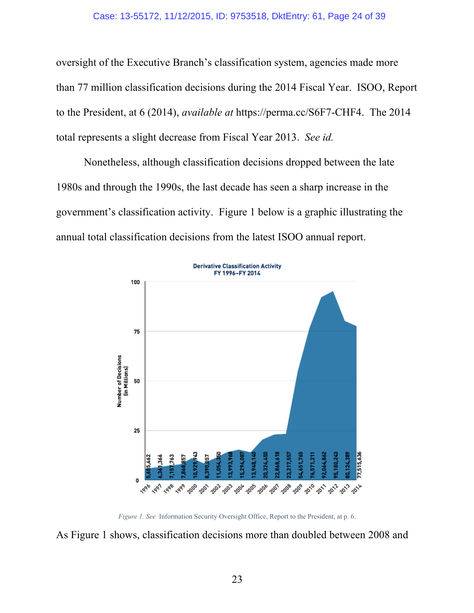#### Case: 13-55172, 11/12/2015, ID: 9753518, DktEntry: 61, Page 24 of 39

oversight of the Executive Branch's classification system, agencies made more than 77 million classification decisions during the 2014 Fiscal Year. ISOO, Report to the President, at 6 (2014), *available at* https://perma.cc/S6F7-CHF4. The 2014 total represents a slight decrease from Fiscal Year 2013. *See id.*

Nonetheless, although classification decisions dropped between the late 1980s and through the 1990s, the last decade has seen a sharp increase in the government's classification activity. Figure 1 below is a graphic illustrating the annual total classification decisions from the latest ISOO annual report.



*Figure 1. See* Information Security Oversight Office, Report to the President, at p. 6.

As Figure 1 shows, classification decisions more than doubled between 2008 and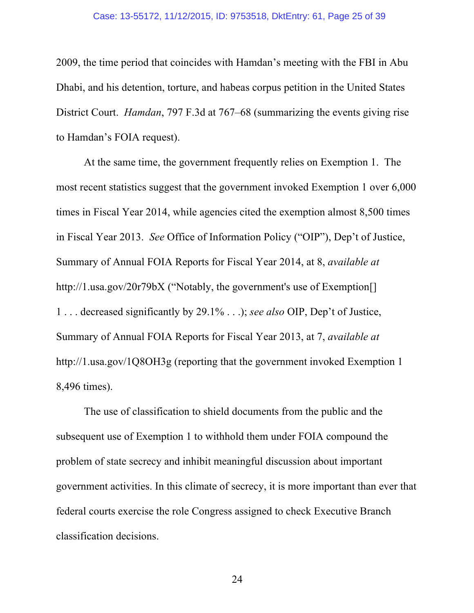#### Case: 13-55172, 11/12/2015, ID: 9753518, DktEntry: 61, Page 25 of 39

2009, the time period that coincides with Hamdan's meeting with the FBI in Abu Dhabi, and his detention, torture, and habeas corpus petition in the United States District Court. *Hamdan*, 797 F.3d at 767–68 (summarizing the events giving rise to Hamdan's FOIA request).

At the same time, the government frequently relies on Exemption 1. The most recent statistics suggest that the government invoked Exemption 1 over 6,000 times in Fiscal Year 2014, while agencies cited the exemption almost 8,500 times in Fiscal Year 2013. *See* Office of Information Policy ("OIP"), Dep't of Justice, Summary of Annual FOIA Reports for Fiscal Year 2014, at 8, *available at*  http://1.usa.gov/20r79bX ("Notably, the government's use of Exemption. 1 . . . decreased significantly by 29.1% . . .); *see also* OIP, Dep't of Justice, Summary of Annual FOIA Reports for Fiscal Year 2013, at 7, *available at*  http://1.usa.gov/1Q8OH3g (reporting that the government invoked Exemption 1 8,496 times).

The use of classification to shield documents from the public and the subsequent use of Exemption 1 to withhold them under FOIA compound the problem of state secrecy and inhibit meaningful discussion about important government activities. In this climate of secrecy, it is more important than ever that federal courts exercise the role Congress assigned to check Executive Branch classification decisions.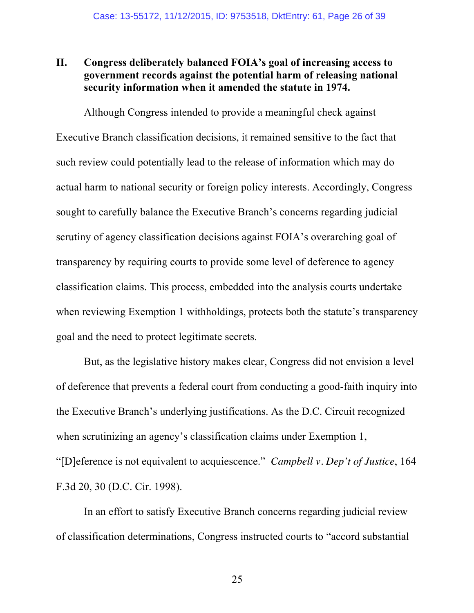### **II. Congress deliberately balanced FOIA's goal of increasing access to government records against the potential harm of releasing national security information when it amended the statute in 1974.**

Although Congress intended to provide a meaningful check against Executive Branch classification decisions, it remained sensitive to the fact that such review could potentially lead to the release of information which may do actual harm to national security or foreign policy interests. Accordingly, Congress sought to carefully balance the Executive Branch's concerns regarding judicial scrutiny of agency classification decisions against FOIA's overarching goal of transparency by requiring courts to provide some level of deference to agency classification claims. This process, embedded into the analysis courts undertake when reviewing Exemption 1 withholdings, protects both the statute's transparency goal and the need to protect legitimate secrets.

But, as the legislative history makes clear, Congress did not envision a level of deference that prevents a federal court from conducting a good-faith inquiry into the Executive Branch's underlying justifications. As the D.C. Circuit recognized when scrutinizing an agency's classification claims under Exemption 1, "[D]eference is not equivalent to acquiescence." *Campbell v. Dep't of Justice*, 164 F.3d 20, 30 (D.C. Cir. 1998).

In an effort to satisfy Executive Branch concerns regarding judicial review of classification determinations, Congress instructed courts to "accord substantial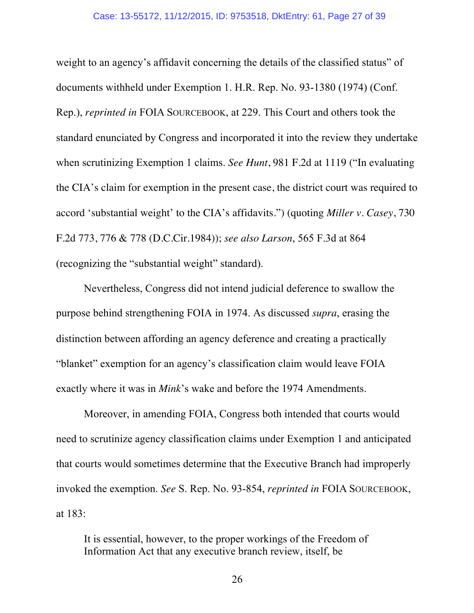weight to an agency's affidavit concerning the details of the classified status" of documents withheld under Exemption 1. H.R. Rep. No. 93-1380 (1974) (Conf. Rep.), *reprinted in* FOIA SOURCEBOOK, at 229. This Court and others took the standard enunciated by Congress and incorporated it into the review they undertake when scrutinizing Exemption 1 claims. *See Hunt*, 981 F.2d at 1119 ("In evaluating the CIA's claim for exemption in the present case, the district court was required to accord 'substantial weight' to the CIA's affidavits.") (quoting *Miller v. Casey*, 730 F.2d 773, 776 & 778 (D.C.Cir.1984)); *see also Larson*, 565 F.3d at 864 (recognizing the "substantial weight" standard).

Nevertheless, Congress did not intend judicial deference to swallow the purpose behind strengthening FOIA in 1974. As discussed *supra*, erasing the distinction between affording an agency deference and creating a practically "blanket" exemption for an agency's classification claim would leave FOIA exactly where it was in *Mink*'s wake and before the 1974 Amendments.

Moreover, in amending FOIA, Congress both intended that courts would need to scrutinize agency classification claims under Exemption 1 and anticipated that courts would sometimes determine that the Executive Branch had improperly invoked the exemption. *See* S. Rep. No. 93-854, *reprinted in* FOIA SOURCEBOOK, at 183:

It is essential, however, to the proper workings of the Freedom of Information Act that any executive branch review, itself, be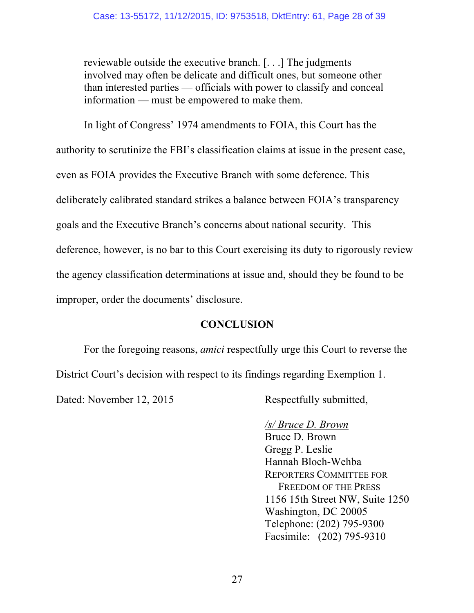reviewable outside the executive branch. [. . .] The judgments involved may often be delicate and difficult ones, but someone other than interested parties — officials with power to classify and conceal information — must be empowered to make them.

In light of Congress' 1974 amendments to FOIA, this Court has the authority to scrutinize the FBI's classification claims at issue in the present case, even as FOIA provides the Executive Branch with some deference. This deliberately calibrated standard strikes a balance between FOIA's transparency goals and the Executive Branch's concerns about national security. This deference, however, is no bar to this Court exercising its duty to rigorously review the agency classification determinations at issue and, should they be found to be improper, order the documents' disclosure.

# **CONCLUSION**

For the foregoing reasons, *amici* respectfully urge this Court to reverse the District Court's decision with respect to its findings regarding Exemption 1.

Dated: November 12, 2015 Respectfully submitted,

# */s/ Bruce D. Brown*

Bruce D. Brown Gregg P. Leslie Hannah Bloch-Wehba REPORTERS COMMITTEE FOR FREEDOM OF THE PRESS 1156 15th Street NW, Suite 1250 Washington, DC 20005 Telephone: (202) 795-9300 Facsimile: (202) 795-9310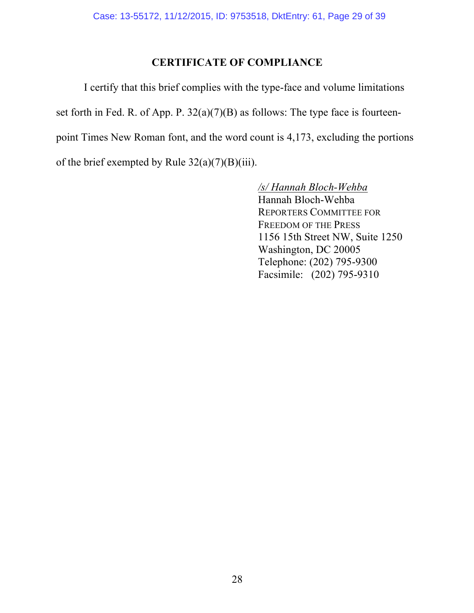# **CERTIFICATE OF COMPLIANCE**

I certify that this brief complies with the type-face and volume limitations set forth in Fed. R. of App. P. 32(a)(7)(B) as follows: The type face is fourteenpoint Times New Roman font, and the word count is 4,173, excluding the portions of the brief exempted by Rule  $32(a)(7)(B)(iii)$ .

> */s/ Hannah Bloch-Wehba* Hannah Bloch-Wehba REPORTERS COMMITTEE FOR FREEDOM OF THE PRESS 1156 15th Street NW, Suite 1250 Washington, DC 20005 Telephone: (202) 795-9300 Facsimile: (202) 795-9310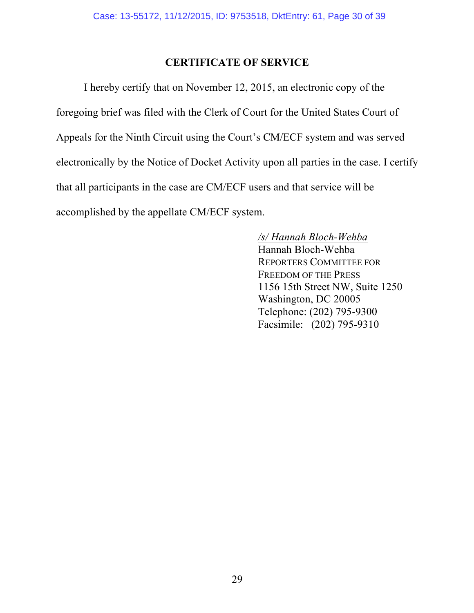## **CERTIFICATE OF SERVICE**

I hereby certify that on November 12, 2015, an electronic copy of the foregoing brief was filed with the Clerk of Court for the United States Court of Appeals for the Ninth Circuit using the Court's CM/ECF system and was served electronically by the Notice of Docket Activity upon all parties in the case. I certify that all participants in the case are CM/ECF users and that service will be accomplished by the appellate CM/ECF system.

> */s/ Hannah Bloch-Wehba* Hannah Bloch-Wehba REPORTERS COMMITTEE FOR FREEDOM OF THE PRESS 1156 15th Street NW, Suite 1250 Washington, DC 20005 Telephone: (202) 795-9300 Facsimile: (202) 795-9310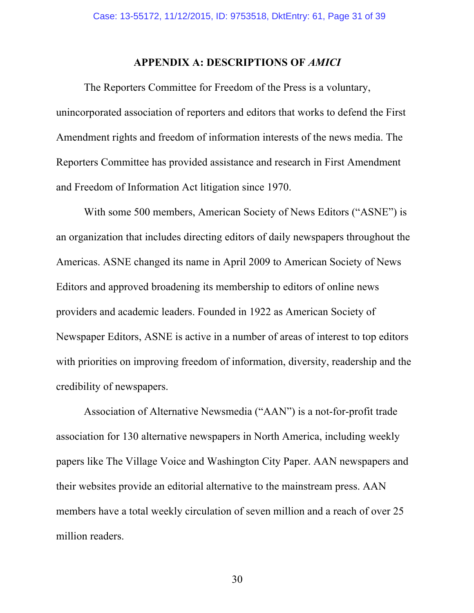### **APPENDIX A: DESCRIPTIONS OF** *AMICI*

The Reporters Committee for Freedom of the Press is a voluntary, unincorporated association of reporters and editors that works to defend the First Amendment rights and freedom of information interests of the news media. The Reporters Committee has provided assistance and research in First Amendment and Freedom of Information Act litigation since 1970.

With some 500 members, American Society of News Editors ("ASNE") is an organization that includes directing editors of daily newspapers throughout the Americas. ASNE changed its name in April 2009 to American Society of News Editors and approved broadening its membership to editors of online news providers and academic leaders. Founded in 1922 as American Society of Newspaper Editors, ASNE is active in a number of areas of interest to top editors with priorities on improving freedom of information, diversity, readership and the credibility of newspapers.

Association of Alternative Newsmedia ("AAN") is a not-for-profit trade association for 130 alternative newspapers in North America, including weekly papers like The Village Voice and Washington City Paper. AAN newspapers and their websites provide an editorial alternative to the mainstream press. AAN members have a total weekly circulation of seven million and a reach of over 25 million readers.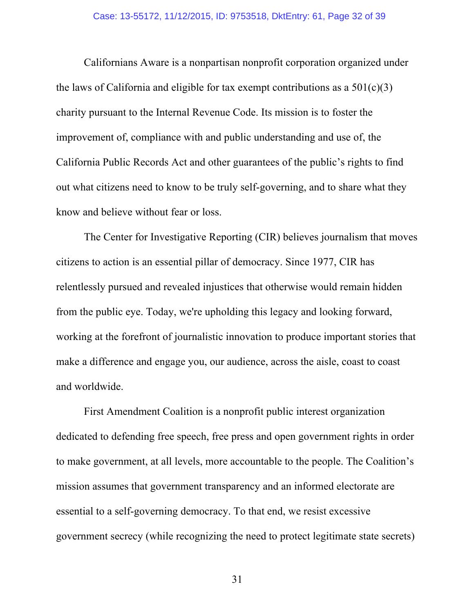Californians Aware is a nonpartisan nonprofit corporation organized under the laws of California and eligible for tax exempt contributions as a  $501(c)(3)$ charity pursuant to the Internal Revenue Code. Its mission is to foster the improvement of, compliance with and public understanding and use of, the California Public Records Act and other guarantees of the public's rights to find out what citizens need to know to be truly self-governing, and to share what they know and believe without fear or loss.

The Center for Investigative Reporting (CIR) believes journalism that moves citizens to action is an essential pillar of democracy. Since 1977, CIR has relentlessly pursued and revealed injustices that otherwise would remain hidden from the public eye. Today, we're upholding this legacy and looking forward, working at the forefront of journalistic innovation to produce important stories that make a difference and engage you, our audience, across the aisle, coast to coast and worldwide.

First Amendment Coalition is a nonprofit public interest organization dedicated to defending free speech, free press and open government rights in order to make government, at all levels, more accountable to the people. The Coalition's mission assumes that government transparency and an informed electorate are essential to a self-governing democracy. To that end, we resist excessive government secrecy (while recognizing the need to protect legitimate state secrets)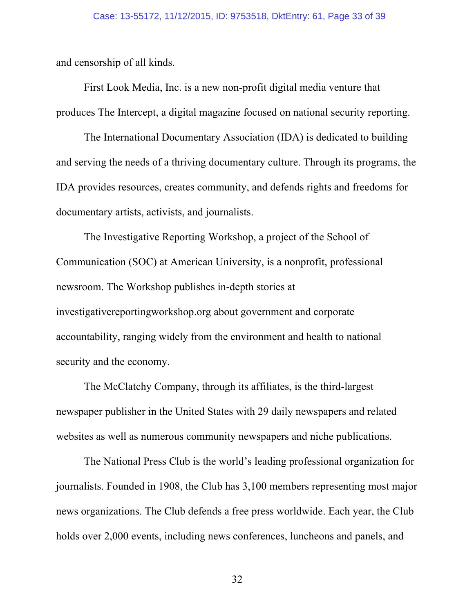and censorship of all kinds.

First Look Media, Inc. is a new non-profit digital media venture that produces The Intercept, a digital magazine focused on national security reporting.

The International Documentary Association (IDA) is dedicated to building and serving the needs of a thriving documentary culture. Through its programs, the IDA provides resources, creates community, and defends rights and freedoms for documentary artists, activists, and journalists.

The Investigative Reporting Workshop, a project of the School of Communication (SOC) at American University, is a nonprofit, professional newsroom. The Workshop publishes in-depth stories at investigativereportingworkshop.org about government and corporate accountability, ranging widely from the environment and health to national security and the economy.

The McClatchy Company, through its affiliates, is the third-largest newspaper publisher in the United States with 29 daily newspapers and related websites as well as numerous community newspapers and niche publications.

The National Press Club is the world's leading professional organization for journalists. Founded in 1908, the Club has 3,100 members representing most major news organizations. The Club defends a free press worldwide. Each year, the Club holds over 2,000 events, including news conferences, luncheons and panels, and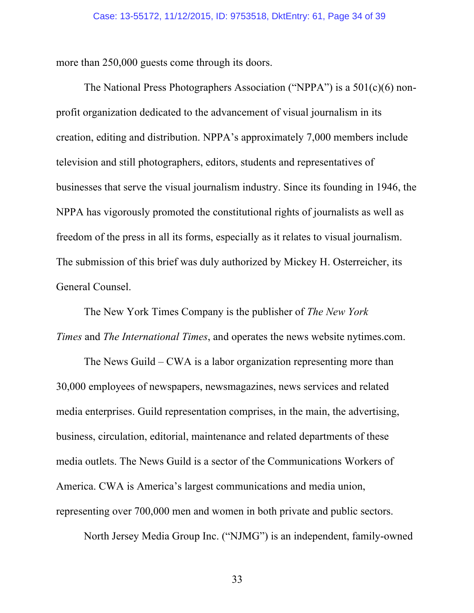more than 250,000 guests come through its doors.

The National Press Photographers Association ("NPPA") is a 501(c)(6) nonprofit organization dedicated to the advancement of visual journalism in its creation, editing and distribution. NPPA's approximately 7,000 members include television and still photographers, editors, students and representatives of businesses that serve the visual journalism industry. Since its founding in 1946, the NPPA has vigorously promoted the constitutional rights of journalists as well as freedom of the press in all its forms, especially as it relates to visual journalism. The submission of this brief was duly authorized by Mickey H. Osterreicher, its General Counsel.

The New York Times Company is the publisher of *The New York Times* and *The International Times*, and operates the news website nytimes.com.

The News Guild – CWA is a labor organization representing more than 30,000 employees of newspapers, newsmagazines, news services and related media enterprises. Guild representation comprises, in the main, the advertising, business, circulation, editorial, maintenance and related departments of these media outlets. The News Guild is a sector of the Communications Workers of America. CWA is America's largest communications and media union, representing over 700,000 men and women in both private and public sectors.

North Jersey Media Group Inc. ("NJMG") is an independent, family-owned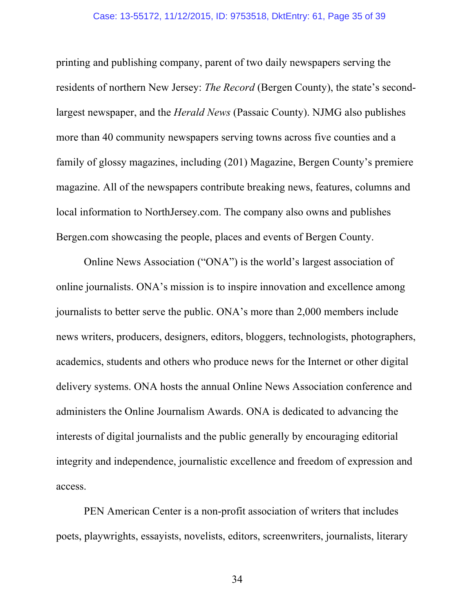printing and publishing company, parent of two daily newspapers serving the residents of northern New Jersey: *The Record* (Bergen County), the state's secondlargest newspaper, and the *Herald News* (Passaic County). NJMG also publishes more than 40 community newspapers serving towns across five counties and a family of glossy magazines, including (201) Magazine, Bergen County's premiere magazine. All of the newspapers contribute breaking news, features, columns and local information to NorthJersey.com. The company also owns and publishes Bergen.com showcasing the people, places and events of Bergen County.

Online News Association ("ONA") is the world's largest association of online journalists. ONA's mission is to inspire innovation and excellence among journalists to better serve the public. ONA's more than 2,000 members include news writers, producers, designers, editors, bloggers, technologists, photographers, academics, students and others who produce news for the Internet or other digital delivery systems. ONA hosts the annual Online News Association conference and administers the Online Journalism Awards. ONA is dedicated to advancing the interests of digital journalists and the public generally by encouraging editorial integrity and independence, journalistic excellence and freedom of expression and access.

PEN American Center is a non-profit association of writers that includes poets, playwrights, essayists, novelists, editors, screenwriters, journalists, literary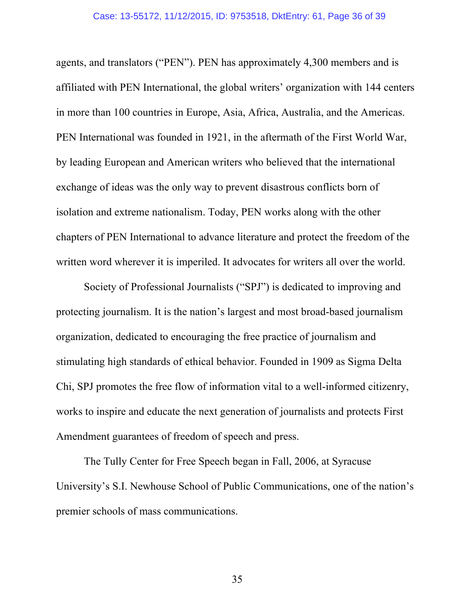agents, and translators ("PEN"). PEN has approximately 4,300 members and is affiliated with PEN International, the global writers' organization with 144 centers in more than 100 countries in Europe, Asia, Africa, Australia, and the Americas. PEN International was founded in 1921, in the aftermath of the First World War, by leading European and American writers who believed that the international exchange of ideas was the only way to prevent disastrous conflicts born of isolation and extreme nationalism. Today, PEN works along with the other chapters of PEN International to advance literature and protect the freedom of the written word wherever it is imperiled. It advocates for writers all over the world.

Society of Professional Journalists ("SPJ") is dedicated to improving and protecting journalism. It is the nation's largest and most broad-based journalism organization, dedicated to encouraging the free practice of journalism and stimulating high standards of ethical behavior. Founded in 1909 as Sigma Delta Chi, SPJ promotes the free flow of information vital to a well-informed citizenry, works to inspire and educate the next generation of journalists and protects First Amendment guarantees of freedom of speech and press.

The Tully Center for Free Speech began in Fall, 2006, at Syracuse University's S.I. Newhouse School of Public Communications, one of the nation's premier schools of mass communications.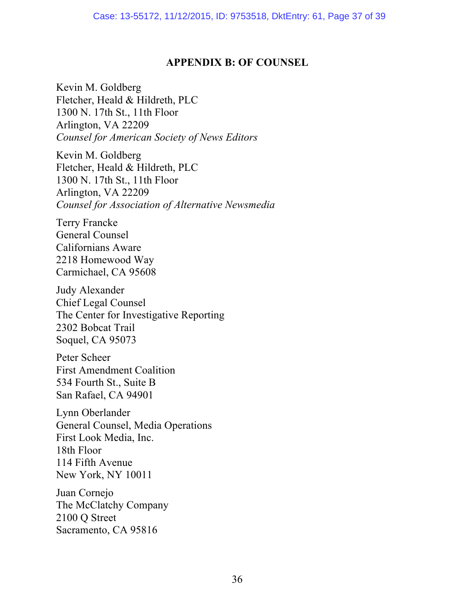## **APPENDIX B: OF COUNSEL**

Kevin M. Goldberg Fletcher, Heald & Hildreth, PLC 1300 N. 17th St., 11th Floor Arlington, VA 22209 *Counsel for American Society of News Editors*

Kevin M. Goldberg Fletcher, Heald & Hildreth, PLC 1300 N. 17th St., 11th Floor Arlington, VA 22209 *Counsel for Association of Alternative Newsmedia*

Terry Francke General Counsel Californians Aware 2218 Homewood Way Carmichael, CA 95608

Judy Alexander Chief Legal Counsel The Center for Investigative Reporting 2302 Bobcat Trail Soquel, CA 95073

Peter Scheer First Amendment Coalition 534 Fourth St., Suite B San Rafael, CA 94901

Lynn Oberlander General Counsel, Media Operations First Look Media, Inc. 18th Floor 114 Fifth Avenue New York, NY 10011

Juan Cornejo The McClatchy Company 2100 Q Street Sacramento, CA 95816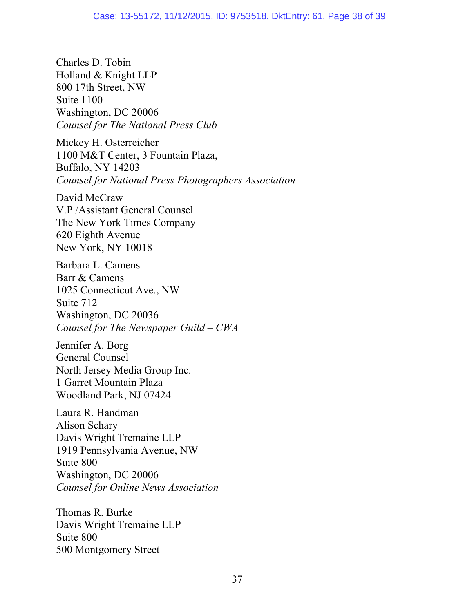Charles D. Tobin Holland & Knight LLP 800 17th Street, NW Suite 1100 Washington, DC 20006 *Counsel for The National Press Club*

Mickey H. Osterreicher 1100 M&T Center, 3 Fountain Plaza, Buffalo, NY 14203 *Counsel for National Press Photographers Association*

David McCraw V.P./Assistant General Counsel The New York Times Company 620 Eighth Avenue New York, NY 10018

Barbara L. Camens Barr & Camens 1025 Connecticut Ave., NW Suite 712 Washington, DC 20036 *Counsel for The Newspaper Guild – CWA*

Jennifer A. Borg General Counsel North Jersey Media Group Inc. 1 Garret Mountain Plaza Woodland Park, NJ 07424

Laura R. Handman Alison Schary Davis Wright Tremaine LLP 1919 Pennsylvania Avenue, NW Suite 800 Washington, DC 20006 *Counsel for Online News Association*

Thomas R. Burke Davis Wright Tremaine LLP Suite 800 500 Montgomery Street